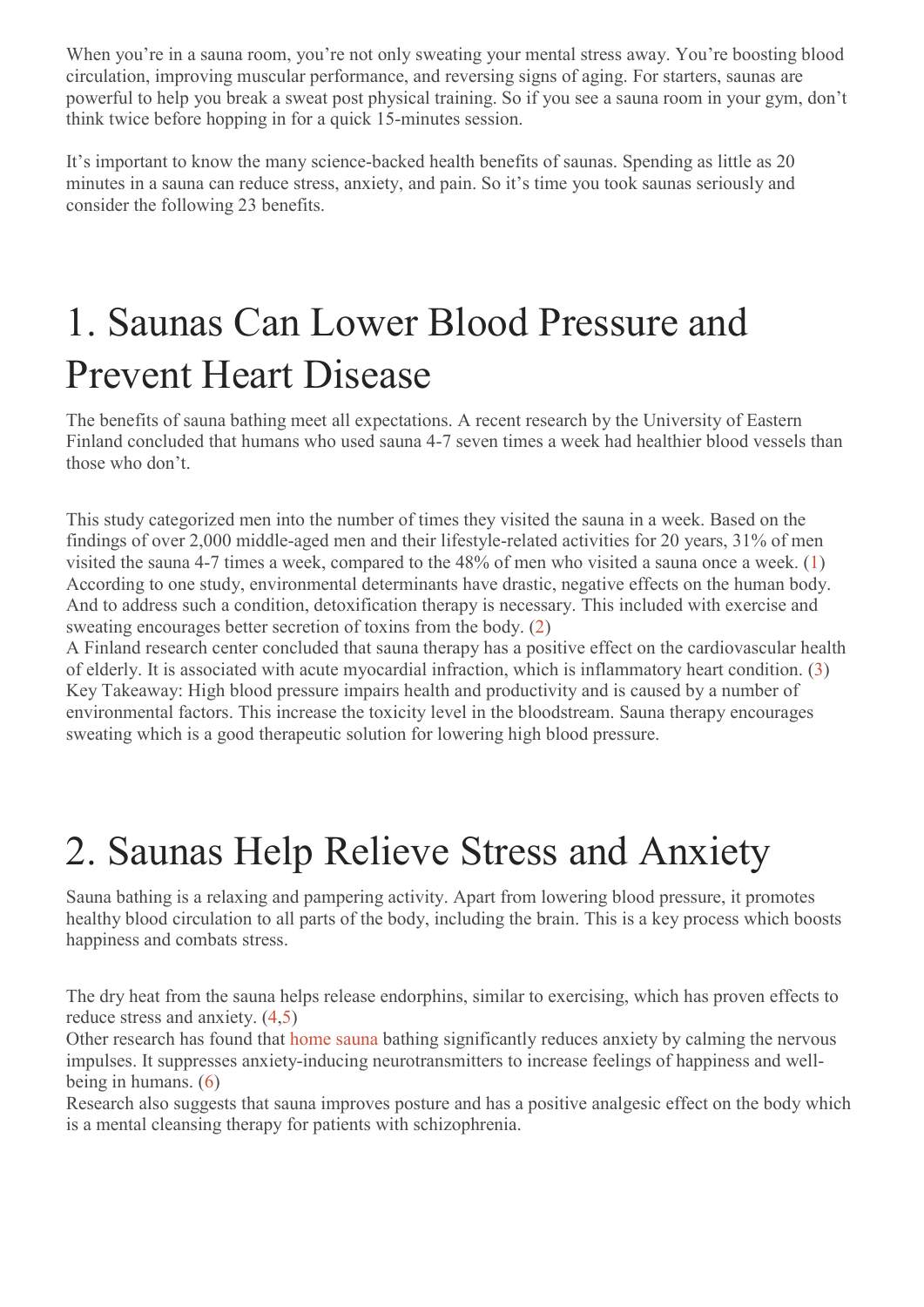When you're in a sauna room, you're not only sweating your mental stress away. You're boosting blood circulation, improving muscular performance, and reversing signs of aging. For starters, saunas are powerful to help you break a sweat post physical training. So if you see a sauna room in your gym, don't think twice before hopping in for a quick 15-minutes session.

It's important to know the many science-backed health benefits of saunas. Spending as little as 20 minutes in a sauna can reduce stress, anxiety, and pain. So it's time you took saunas seriously and consider the following 23 benefits.

### 1. Saunas Can Lower Blood Pressure and Prevent Heart Disease

The benefits of sauna bathing meet all expectations. A recent research by the University of Eastern Finland concluded that humans who used sauna 4-7 seven times a week had healthier blood vessels than those who don't.

This study categorized men into the number of times they visited the sauna in a week. Based on the findings of over 2,000 middle-aged men and their lifestyle-related activities for 20 years, 31% of men visited the sauna 4-7 times a week, compared to the 48% of men who visited a sauna once a week. (1) According to one study, environmental determinants have drastic, negative effects on the human body. And to address such a condition, detoxification therapy is necessary. This included with exercise and sweating encourages better secretion of toxins from the body. (2)

A Finland research center concluded that sauna therapy has a positive effect on the cardiovascular health of elderly. It is associated with acute myocardial infraction, which is inflammatory heart condition. (3) Key Takeaway: High blood pressure impairs health and productivity and is caused by a number of environmental factors. This increase the toxicity level in the bloodstream. Sauna therapy encourages sweating which is a good therapeutic solution for lowering high blood pressure.

#### 2. Saunas Help Relieve Stress and Anxiety

Sauna bathing is a relaxing and pampering activity. Apart from lowering blood pressure, it promotes healthy blood circulation to all parts of the body, including the brain. This is a key process which boosts happiness and combats stress.

The dry heat from the sauna helps release endorphins, similar to exercising, which has proven effects to reduce stress and anxiety. (4,5)

Other research has found that home sauna bathing significantly reduces anxiety by calming the nervous impulses. It suppresses anxiety-inducing neurotransmitters to increase feelings of happiness and wellbeing in humans. (6)

Research also suggests that sauna improves posture and has a positive analgesic effect on the body which is a mental cleansing therapy for patients with schizophrenia.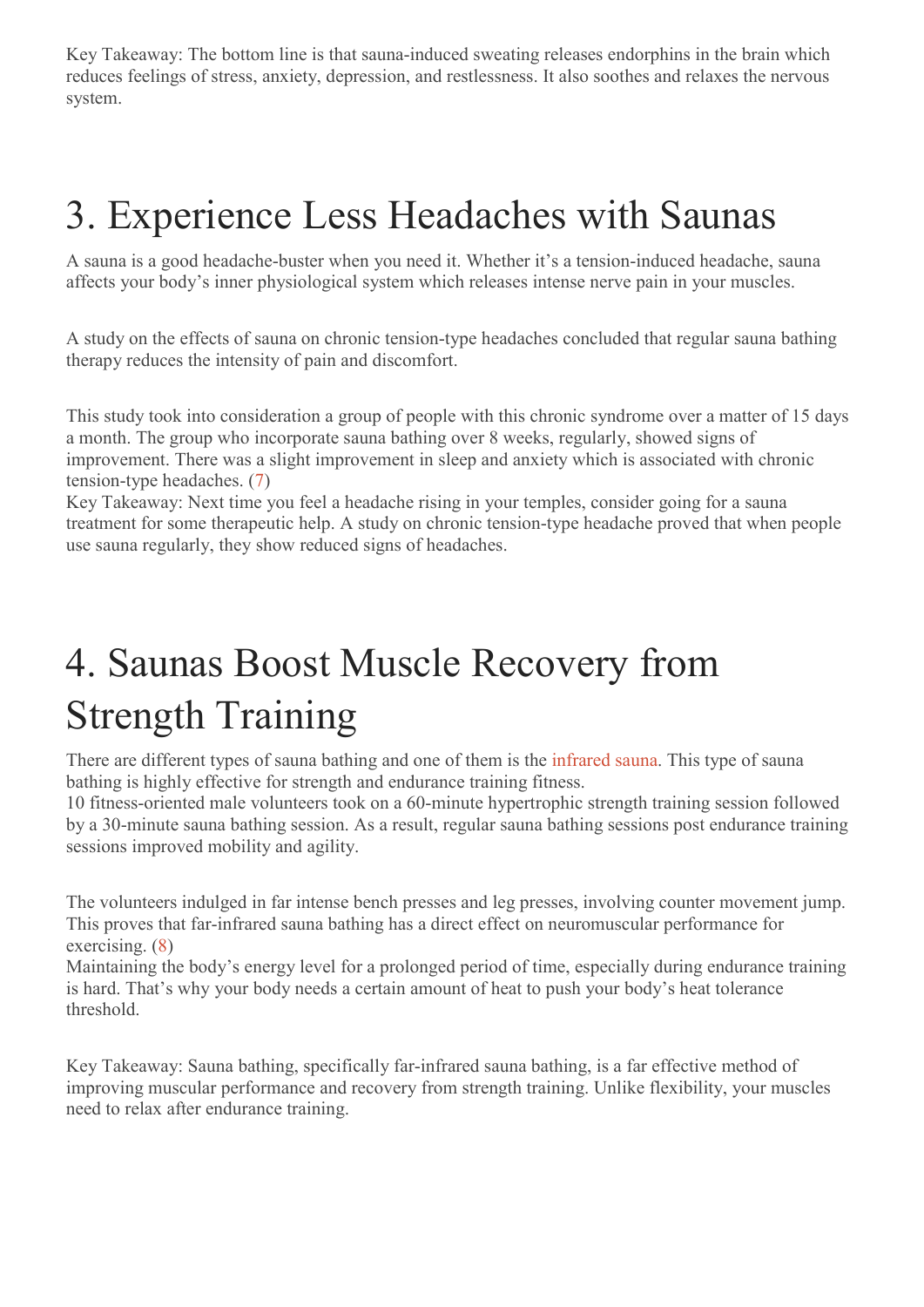Key Takeaway: The bottom line is that sauna-induced sweating releases endorphins in the brain which reduces feelings of stress, anxiety, depression, and restlessness. It also soothes and relaxes the nervous system.

#### 3. Experience Less Headaches with Saunas

A sauna is a good headache-buster when you need it. Whether it's a tension-induced headache, sauna affects your body's inner physiological system which releases intense nerve pain in your muscles.

A study on the effects of sauna on chronic tension-type headaches concluded that regular sauna bathing therapy reduces the intensity of pain and discomfort.

This study took into consideration a group of people with this chronic syndrome over a matter of 15 days a month. The group who incorporate sauna bathing over 8 weeks, regularly, showed signs of improvement. There was a slight improvement in sleep and anxiety which is associated with chronic tension-type headaches. (7)

Key Takeaway: Next time you feel a headache rising in your temples, consider going for a sauna treatment for some therapeutic help. A study on chronic tension-type headache proved that when people use sauna regularly, they show reduced signs of headaches.

### 4. Saunas Boost Muscle Recovery from Strength Training

There are different types of sauna bathing and one of them is the infrared sauna. This type of sauna bathing is highly effective for strength and endurance training fitness.

10 fitness-oriented male volunteers took on a 60-minute hypertrophic strength training session followed by a 30-minute sauna bathing session. As a result, regular sauna bathing sessions post endurance training sessions improved mobility and agility.

The volunteers indulged in far intense bench presses and leg presses, involving counter movement jump. This proves that far-infrared sauna bathing has a direct effect on neuromuscular performance for exercising. (8)

Maintaining the body's energy level for a prolonged period of time, especially during endurance training is hard. That's why your body needs a certain amount of heat to push your body's heat tolerance threshold.

Key Takeaway: Sauna bathing, specifically far-infrared sauna bathing, is a far effective method of improving muscular performance and recovery from strength training. Unlike flexibility, your muscles need to relax after endurance training.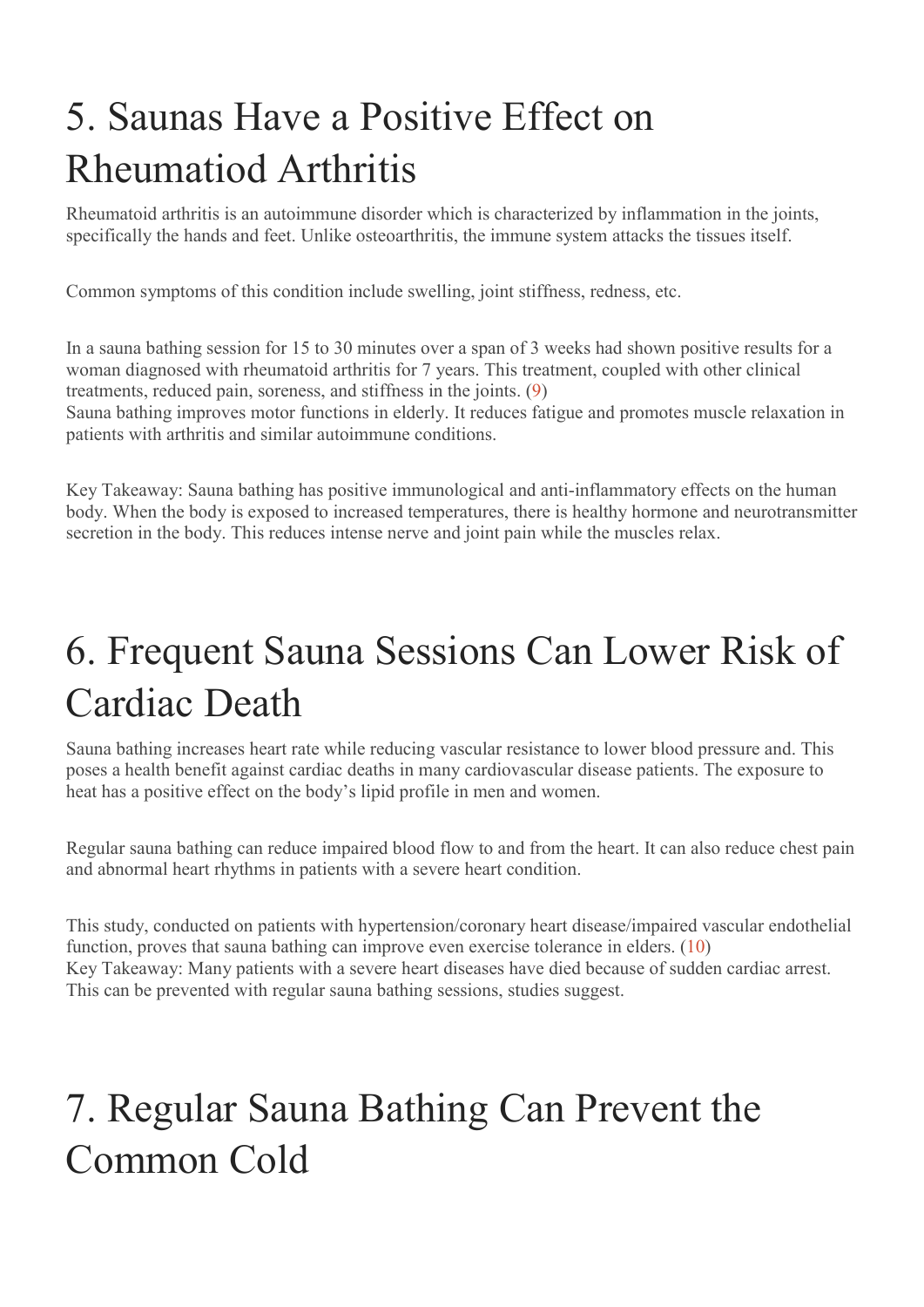## 5. Saunas Have a Positive Effect on Rheumatiod Arthritis

Rheumatoid arthritis is an autoimmune disorder which is characterized by inflammation in the joints, specifically the hands and feet. Unlike osteoarthritis, the immune system attacks the tissues itself.

Common symptoms of this condition include swelling, joint stiffness, redness, etc.

In a sauna bathing session for 15 to 30 minutes over a span of 3 weeks had shown positive results for a woman diagnosed with rheumatoid arthritis for 7 years. This treatment, coupled with other clinical treatments, reduced pain, soreness, and stiffness in the joints. (9) Sauna bathing improves motor functions in elderly. It reduces fatigue and promotes muscle relaxation in patients with arthritis and similar autoimmune conditions.

Key Takeaway: Sauna bathing has positive immunological and anti-inflammatory effects on the human body. When the body is exposed to increased temperatures, there is healthy hormone and neurotransmitter secretion in the body. This reduces intense nerve and joint pain while the muscles relax.

### 6. Frequent Sauna Sessions Can Lower Risk of Cardiac Death

Sauna bathing increases heart rate while reducing vascular resistance to lower blood pressure and. This poses a health benefit against cardiac deaths in many cardiovascular disease patients. The exposure to heat has a positive effect on the body's lipid profile in men and women.

Regular sauna bathing can reduce impaired blood flow to and from the heart. It can also reduce chest pain and abnormal heart rhythms in patients with a severe heart condition.

This study, conducted on patients with hypertension/coronary heart disease/impaired vascular endothelial function, proves that sauna bathing can improve even exercise tolerance in elders. (10) Key Takeaway: Many patients with a severe heart diseases have died because of sudden cardiac arrest. This can be prevented with regular sauna bathing sessions, studies suggest.

### 7. Regular Sauna Bathing Can Prevent the Common Cold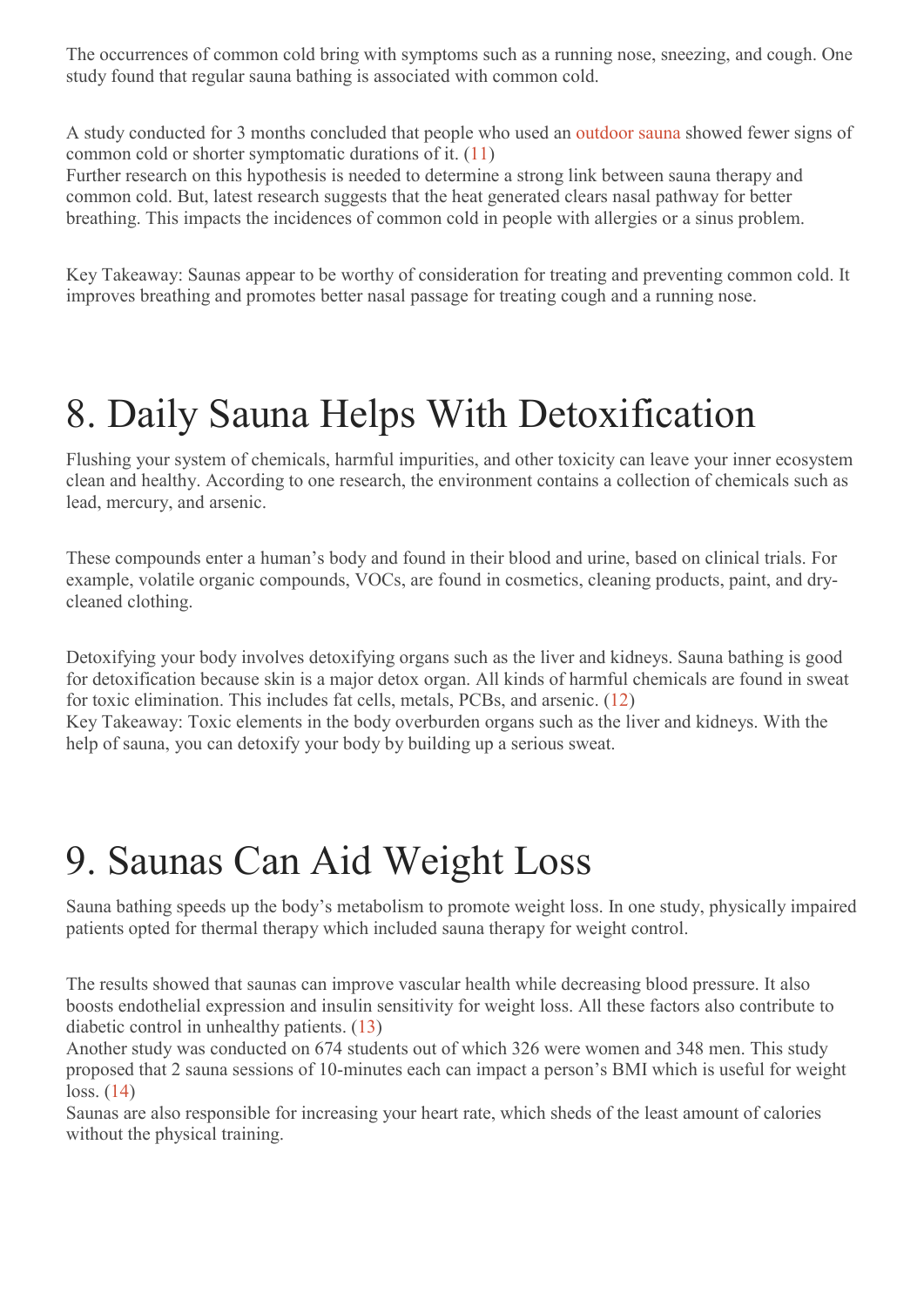The occurrences of common cold bring with symptoms such as a running nose, sneezing, and cough. One study found that regular sauna bathing is associated with common cold.

A study conducted for 3 months concluded that people who used an outdoor sauna showed fewer signs of common cold or shorter symptomatic durations of it. (11)

Further research on this hypothesis is needed to determine a strong link between sauna therapy and common cold. But, latest research suggests that the heat generated clears nasal pathway for better breathing. This impacts the incidences of common cold in people with allergies or a sinus problem.

Key Takeaway: Saunas appear to be worthy of consideration for treating and preventing common cold. It improves breathing and promotes better nasal passage for treating cough and a running nose.

### 8. Daily Sauna Helps With Detoxification

Flushing your system of chemicals, harmful impurities, and other toxicity can leave your inner ecosystem clean and healthy. According to one research, the environment contains a collection of chemicals such as lead, mercury, and arsenic.

These compounds enter a human's body and found in their blood and urine, based on clinical trials. For example, volatile organic compounds, VOCs, are found in cosmetics, cleaning products, paint, and drycleaned clothing.

Detoxifying your body involves detoxifying organs such as the liver and kidneys. Sauna bathing is good for detoxification because skin is a major detox organ. All kinds of harmful chemicals are found in sweat for toxic elimination. This includes fat cells, metals, PCBs, and arsenic. (12)

Key Takeaway: Toxic elements in the body overburden organs such as the liver and kidneys. With the help of sauna, you can detoxify your body by building up a serious sweat.

#### 9. Saunas Can Aid Weight Loss

Sauna bathing speeds up the body's metabolism to promote weight loss. In one study, physically impaired patients opted for thermal therapy which included sauna therapy for weight control.

The results showed that saunas can improve vascular health while decreasing blood pressure. It also boosts endothelial expression and insulin sensitivity for weight loss. All these factors also contribute to diabetic control in unhealthy patients. (13)

Another study was conducted on 674 students out of which 326 were women and 348 men. This study proposed that 2 sauna sessions of 10-minutes each can impact a person's BMI which is useful for weight loss. (14)

Saunas are also responsible for increasing your heart rate, which sheds of the least amount of calories without the physical training.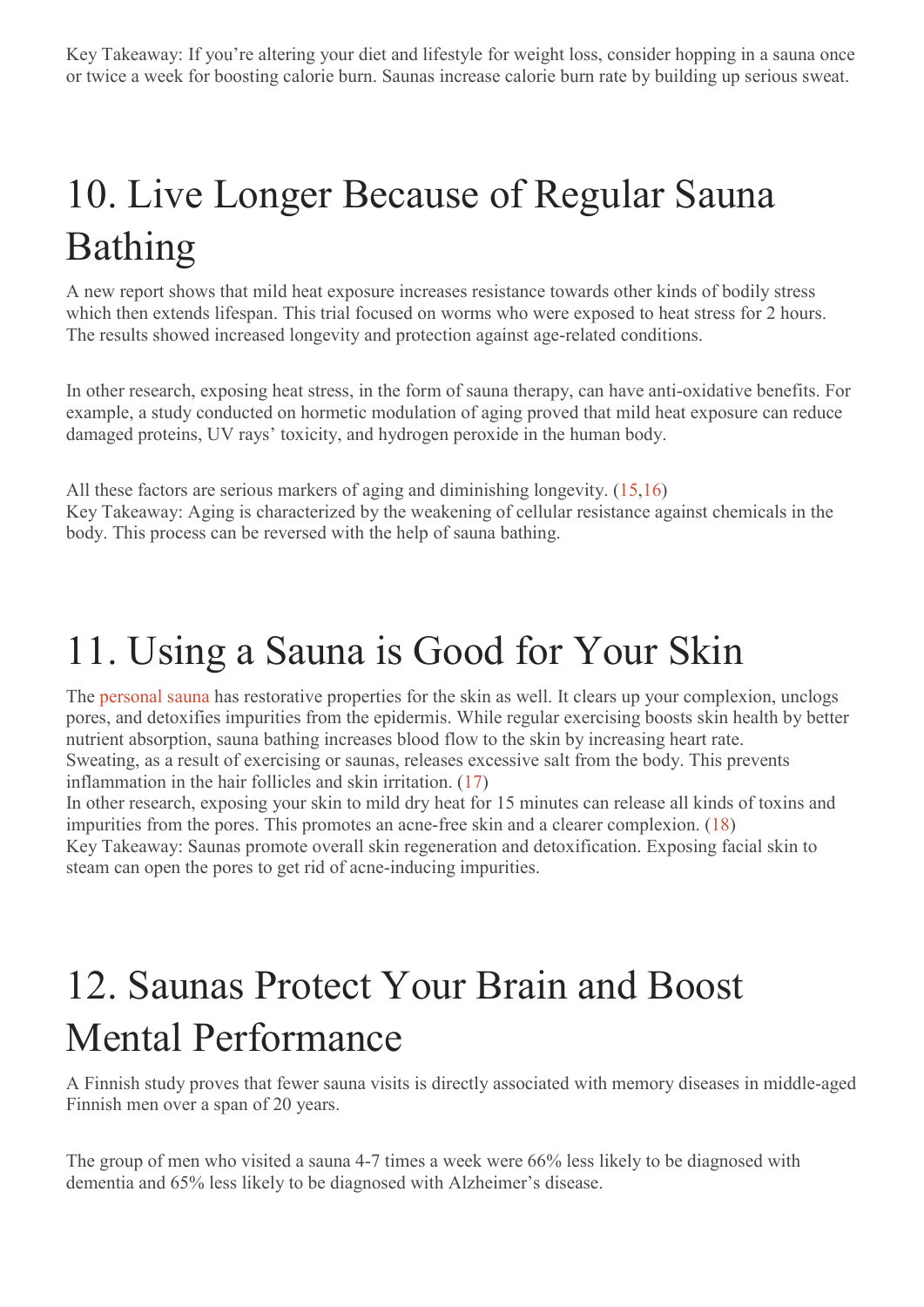# 10. Live Longer Because of Regular Sauna Bathing

A new report shows that mild heat exposure increases resistance towards other kinds of bodily stress which then extends lifespan. This trial focused on worms who were exposed to heat stress for 2 hours. The results showed increased longevity and protection against age-related conditions.

In other research, exposing heat stress, in the form of sauna therapy, can have anti-oxidative benefits. For example, a study conducted on hormetic modulation of aging proved that mild heat exposure can reduce damaged proteins, UV rays' toxicity, and hydrogen peroxide in the human body.

All these factors are serious markers of aging and diminishing longevity. (15,16) Key Takeaway: Aging is characterized by the weakening of cellular resistance against chemicals in the body. This process can be reversed with the help of sauna bathing.

### 11. Using a Sauna is Good for Your Skin

The personal sauna has restorative properties for the skin as well. It clears up your complexion, unclogs pores, and detoxifies impurities from the epidermis. While regular exercising boosts skin health by better nutrient absorption, sauna bathing increases blood flow to the skin by increasing heart rate. Sweating, as a result of exercising or saunas, releases excessive salt from the body. This prevents inflammation in the hair follicles and skin irritation. (17)

In other research, exposing your skin to mild dry heat for 15 minutes can release all kinds of toxins and impurities from the pores. This promotes an acne-free skin and a clearer complexion. (18) Key Takeaway: Saunas promote overall skin regeneration and detoxification. Exposing facial skin to steam can open the pores to get rid of acne-inducing impurities.

### 12. Saunas Protect Your Brain and Boost Mental Performance

A Finnish study proves that fewer sauna visits is directly associated with memory diseases in middle-aged Finnish men over a span of 20 years.

The group of men who visited a sauna 4-7 times a week were 66% less likely to be diagnosed with dementia and 65% less likely to be diagnosed with Alzheimer's disease.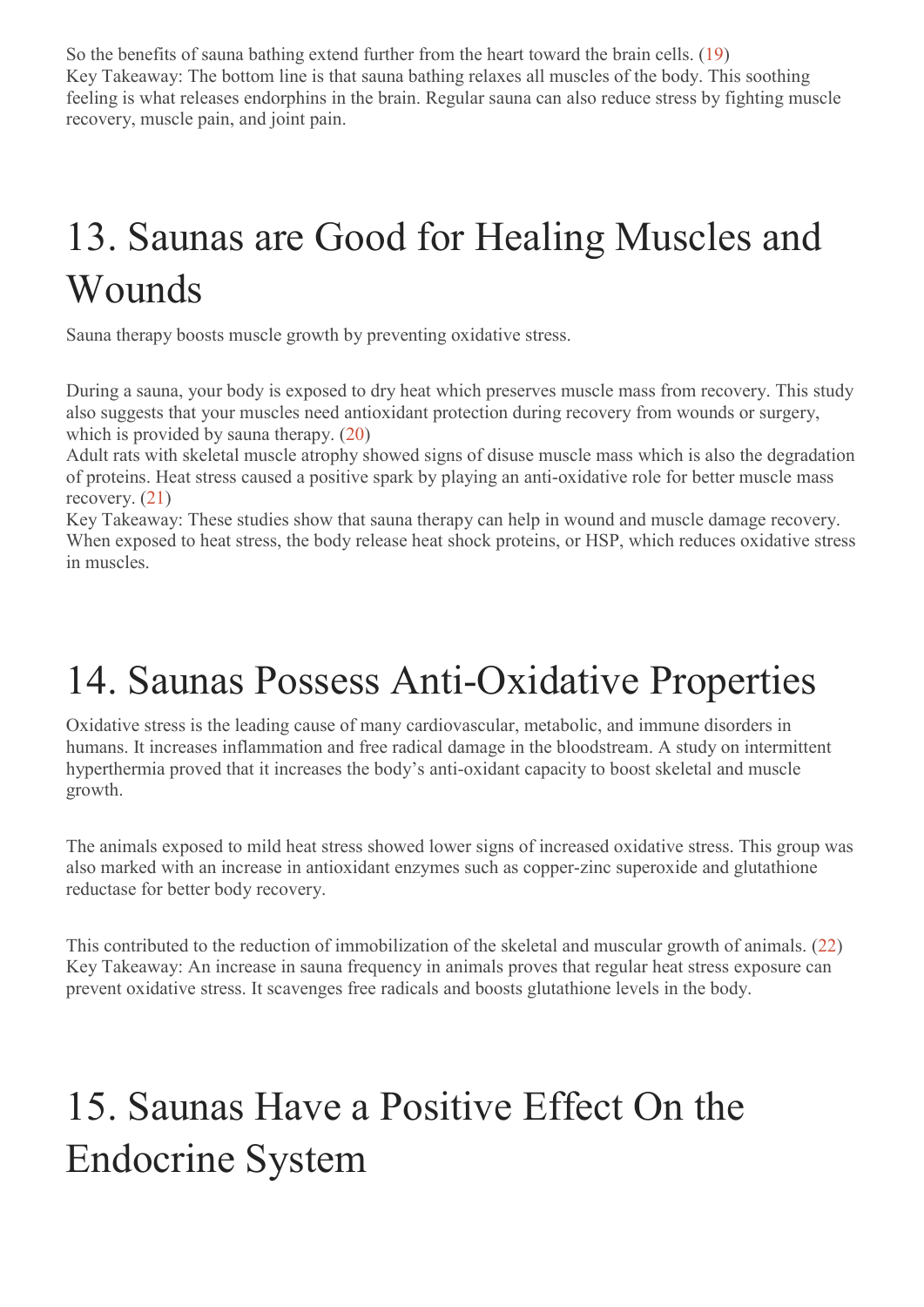So the benefits of sauna bathing extend further from the heart toward the brain cells. (19) Key Takeaway: The bottom line is that sauna bathing relaxes all muscles of the body. This soothing feeling is what releases endorphins in the brain. Regular sauna can also reduce stress by fighting muscle recovery, muscle pain, and joint pain.

### 13. Saunas are Good for Healing Muscles and Wounds

Sauna therapy boosts muscle growth by preventing oxidative stress.

During a sauna, your body is exposed to dry heat which preserves muscle mass from recovery. This study also suggests that your muscles need antioxidant protection during recovery from wounds or surgery, which is provided by sauna therapy.  $(20)$ 

Adult rats with skeletal muscle atrophy showed signs of disuse muscle mass which is also the degradation of proteins. Heat stress caused a positive spark by playing an anti-oxidative role for better muscle mass recovery. (21)

Key Takeaway: These studies show that sauna therapy can help in wound and muscle damage recovery. When exposed to heat stress, the body release heat shock proteins, or HSP, which reduces oxidative stress in muscles.

#### 14. Saunas Possess Anti-Oxidative Properties

Oxidative stress is the leading cause of many cardiovascular, metabolic, and immune disorders in humans. It increases inflammation and free radical damage in the bloodstream. A study on intermittent hyperthermia proved that it increases the body's anti-oxidant capacity to boost skeletal and muscle growth.

The animals exposed to mild heat stress showed lower signs of increased oxidative stress. This group was also marked with an increase in antioxidant enzymes such as copper-zinc superoxide and glutathione reductase for better body recovery.

This contributed to the reduction of immobilization of the skeletal and muscular growth of animals. (22) Key Takeaway: An increase in sauna frequency in animals proves that regular heat stress exposure can prevent oxidative stress. It scavenges free radicals and boosts glutathione levels in the body.

### 15. Saunas Have a Positive Effect On the Endocrine System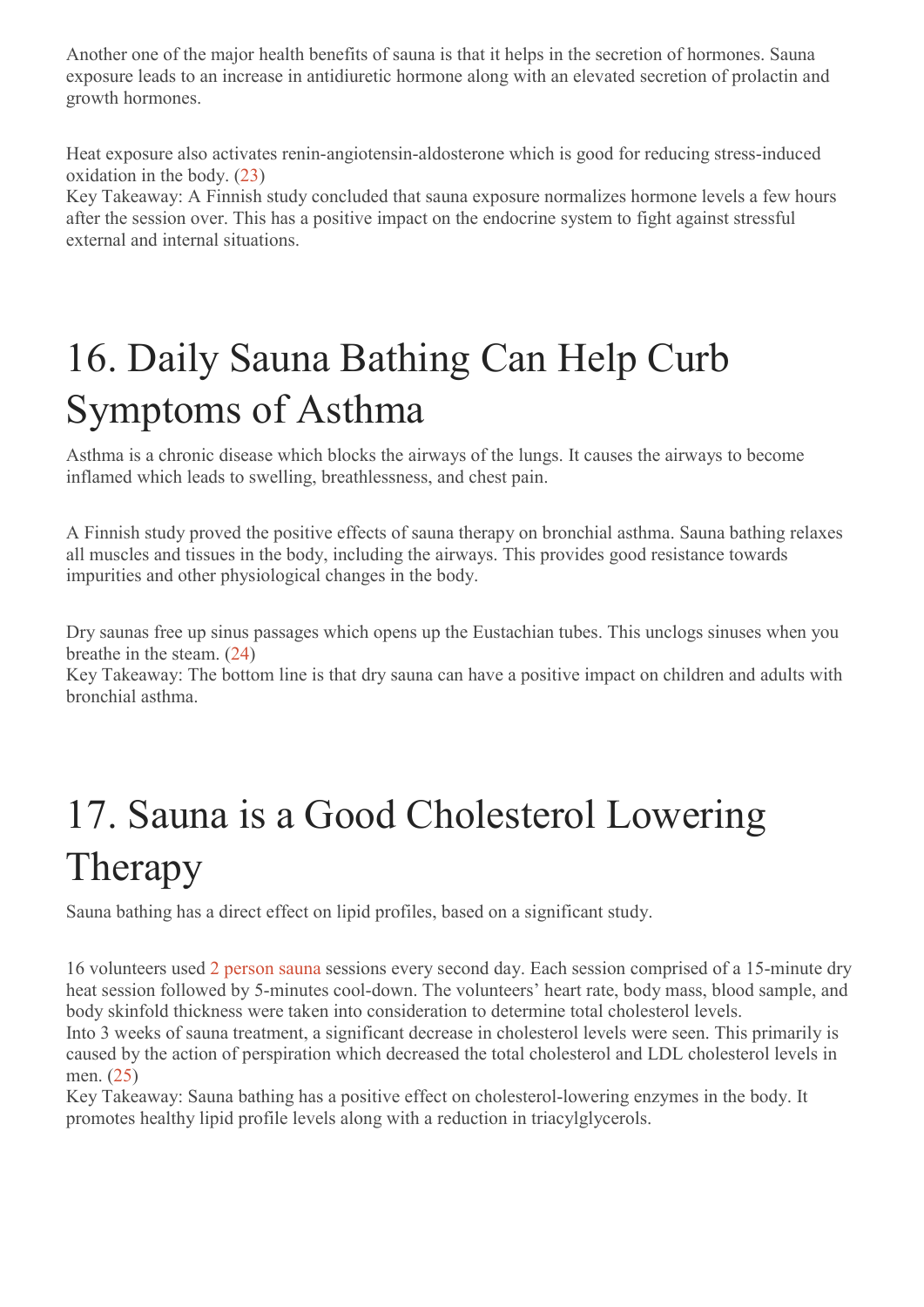Another one of the major health benefits of sauna is that it helps in the secretion of hormones. Sauna exposure leads to an increase in antidiuretic hormone along with an elevated secretion of prolactin and growth hormones.

Heat exposure also activates renin-angiotensin-aldosterone which is good for reducing stress-induced oxidation in the body. (23)

Key Takeaway: A Finnish study concluded that sauna exposure normalizes hormone levels a few hours after the session over. This has a positive impact on the endocrine system to fight against stressful external and internal situations.

## 16. Daily Sauna Bathing Can Help Curb Symptoms of Asthma

Asthma is a chronic disease which blocks the airways of the lungs. It causes the airways to become inflamed which leads to swelling, breathlessness, and chest pain.

A Finnish study proved the positive effects of sauna therapy on bronchial asthma. Sauna bathing relaxes all muscles and tissues in the body, including the airways. This provides good resistance towards impurities and other physiological changes in the body.

Dry saunas free up sinus passages which opens up the Eustachian tubes. This unclogs sinuses when you breathe in the steam. (24)

Key Takeaway: The bottom line is that dry sauna can have a positive impact on children and adults with bronchial asthma.

## 17. Sauna is a Good Cholesterol Lowering Therapy

Sauna bathing has a direct effect on lipid profiles, based on a significant study.

16 volunteers used 2 person sauna sessions every second day. Each session comprised of a 15-minute dry heat session followed by 5-minutes cool-down. The volunteers' heart rate, body mass, blood sample, and body skinfold thickness were taken into consideration to determine total cholesterol levels.

Into 3 weeks of sauna treatment, a significant decrease in cholesterol levels were seen. This primarily is caused by the action of perspiration which decreased the total cholesterol and LDL cholesterol levels in men. (25)

Key Takeaway: Sauna bathing has a positive effect on cholesterol-lowering enzymes in the body. It promotes healthy lipid profile levels along with a reduction in triacylglycerols.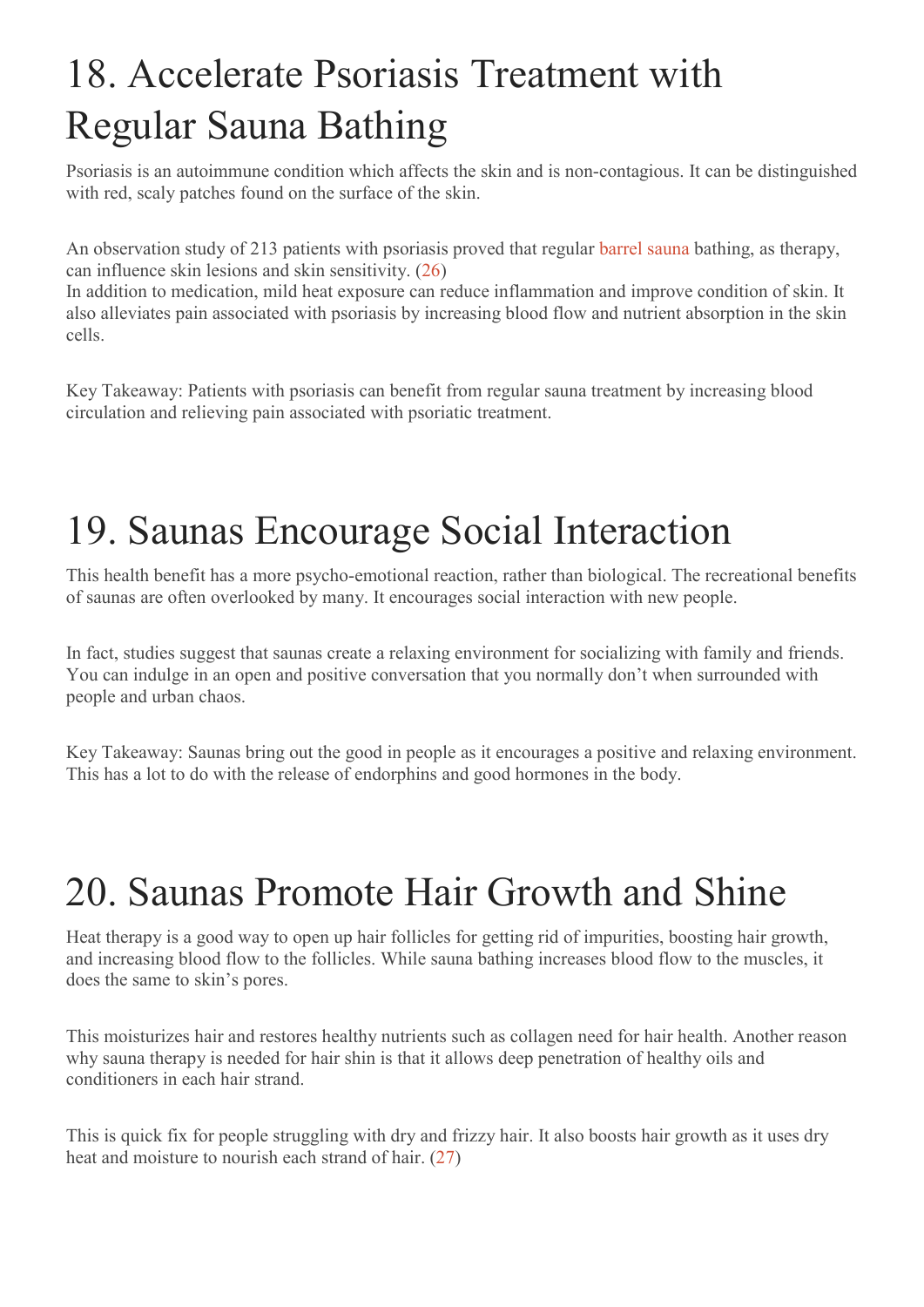### 18. Accelerate Psoriasis Treatment with Regular Sauna Bathing

Psoriasis is an autoimmune condition which affects the skin and is non-contagious. It can be distinguished with red, scaly patches found on the surface of the skin.

An observation study of 213 patients with psoriasis proved that regular barrel sauna bathing, as therapy, can influence skin lesions and skin sensitivity. (26)

In addition to medication, mild heat exposure can reduce inflammation and improve condition of skin. It also alleviates pain associated with psoriasis by increasing blood flow and nutrient absorption in the skin cells.

Key Takeaway: Patients with psoriasis can benefit from regular sauna treatment by increasing blood circulation and relieving pain associated with psoriatic treatment.

#### 19. Saunas Encourage Social Interaction

This health benefit has a more psycho-emotional reaction, rather than biological. The recreational benefits of saunas are often overlooked by many. It encourages social interaction with new people.

In fact, studies suggest that saunas create a relaxing environment for socializing with family and friends. You can indulge in an open and positive conversation that you normally don't when surrounded with people and urban chaos.

Key Takeaway: Saunas bring out the good in people as it encourages a positive and relaxing environment. This has a lot to do with the release of endorphins and good hormones in the body.

#### 20. Saunas Promote Hair Growth and Shine

Heat therapy is a good way to open up hair follicles for getting rid of impurities, boosting hair growth, and increasing blood flow to the follicles. While sauna bathing increases blood flow to the muscles, it does the same to skin's pores.

This moisturizes hair and restores healthy nutrients such as collagen need for hair health. Another reason why sauna therapy is needed for hair shin is that it allows deep penetration of healthy oils and conditioners in each hair strand.

This is quick fix for people struggling with dry and frizzy hair. It also boosts hair growth as it uses dry heat and moisture to nourish each strand of hair. (27)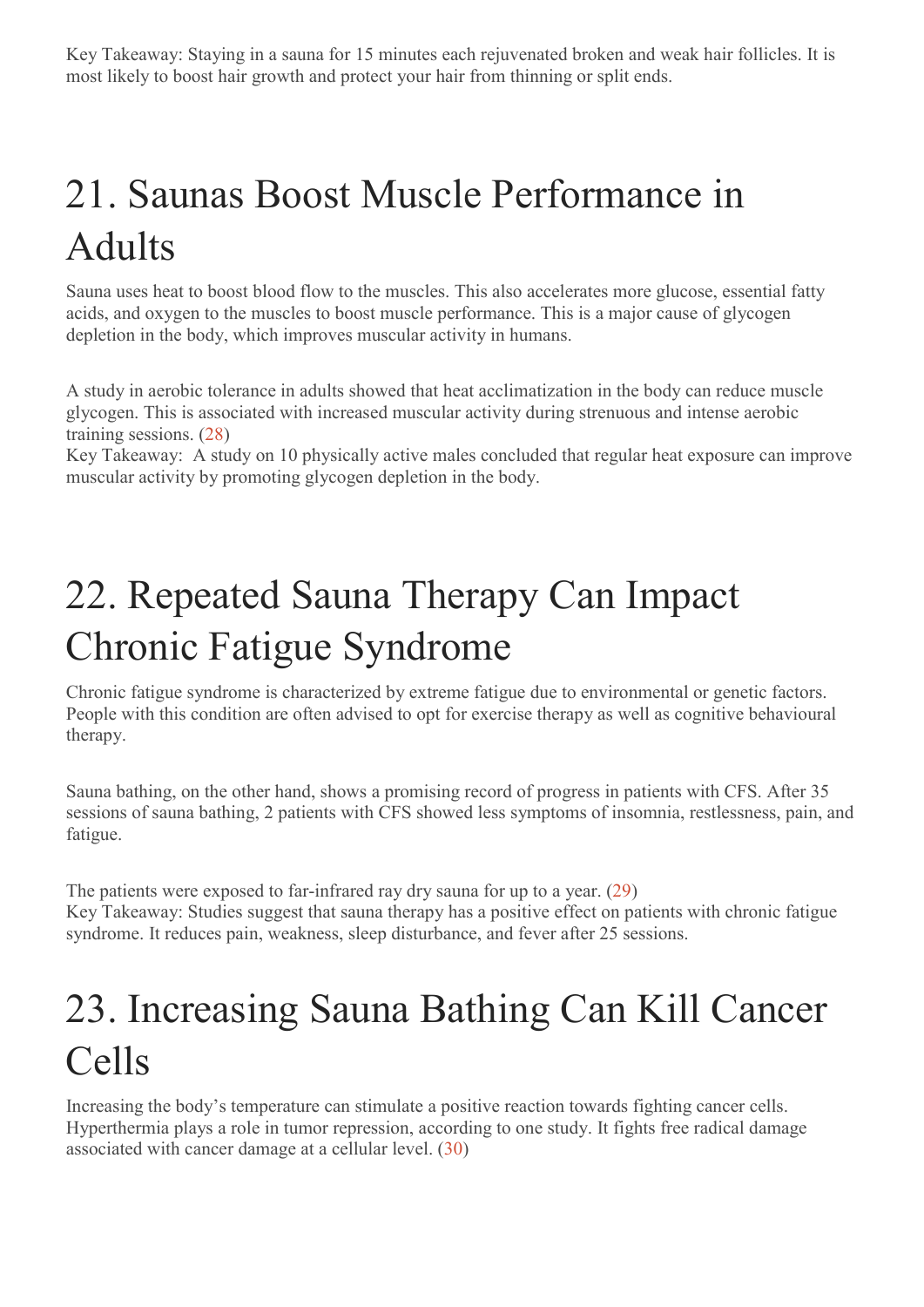Key Takeaway: Staying in a sauna for 15 minutes each rejuvenated broken and weak hair follicles. It is most likely to boost hair growth and protect your hair from thinning or split ends.

## 21. Saunas Boost Muscle Performance in Adults

Sauna uses heat to boost blood flow to the muscles. This also accelerates more glucose, essential fatty acids, and oxygen to the muscles to boost muscle performance. This is a major cause of glycogen depletion in the body, which improves muscular activity in humans.

A study in aerobic tolerance in adults showed that heat acclimatization in the body can reduce muscle glycogen. This is associated with increased muscular activity during strenuous and intense aerobic training sessions. (28)

Key Takeaway: A study on 10 physically active males concluded that regular heat exposure can improve muscular activity by promoting glycogen depletion in the body.

### 22. Repeated Sauna Therapy Can Impact Chronic Fatigue Syndrome

Chronic fatigue syndrome is characterized by extreme fatigue due to environmental or genetic factors. People with this condition are often advised to opt for exercise therapy as well as cognitive behavioural therapy.

Sauna bathing, on the other hand, shows a promising record of progress in patients with CFS. After 35 sessions of sauna bathing, 2 patients with CFS showed less symptoms of insomnia, restlessness, pain, and fatigue.

The patients were exposed to far-infrared ray dry sauna for up to a year. (29) Key Takeaway: Studies suggest that sauna therapy has a positive effect on patients with chronic fatigue syndrome. It reduces pain, weakness, sleep disturbance, and fever after 25 sessions.

### 23. Increasing Sauna Bathing Can Kill Cancer Cells

Increasing the body's temperature can stimulate a positive reaction towards fighting cancer cells. Hyperthermia plays a role in tumor repression, according to one study. It fights free radical damage associated with cancer damage at a cellular level. (30)